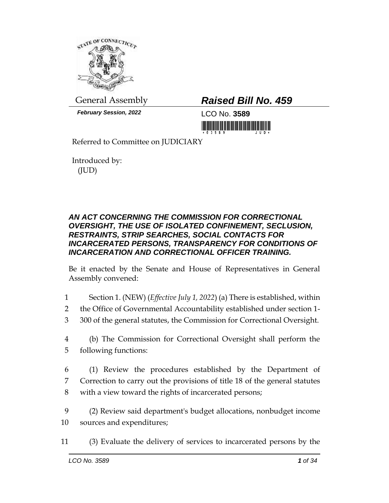

*February Session, 2022* LCO No. **3589**

## General Assembly *Raised Bill No. 459*

<u> III di kacamatan ing Kabupatèn III di Kabupatèn III di Kabupatèn III di Kabupatèn III di Kabupatèn III di Ka</u>

Referred to Committee on JUDICIARY

Introduced by: (JUD)

## *AN ACT CONCERNING THE COMMISSION FOR CORRECTIONAL OVERSIGHT, THE USE OF ISOLATED CONFINEMENT, SECLUSION, RESTRAINTS, STRIP SEARCHES, SOCIAL CONTACTS FOR INCARCERATED PERSONS, TRANSPARENCY FOR CONDITIONS OF INCARCERATION AND CORRECTIONAL OFFICER TRAINING.*

Be it enacted by the Senate and House of Representatives in General Assembly convened:

- 1 Section 1. (NEW) (*Effective July 1, 2022*) (a) There is established, within
- 2 the Office of Governmental Accountability established under section 1-
- 3 300 of the general statutes, the Commission for Correctional Oversight.
- 4 (b) The Commission for Correctional Oversight shall perform the 5 following functions:
- 6 (1) Review the procedures established by the Department of 7 Correction to carry out the provisions of title 18 of the general statutes 8 with a view toward the rights of incarcerated persons;
- 9 (2) Review said department's budget allocations, nonbudget income 10 sources and expenditures;
- 11 (3) Evaluate the delivery of services to incarcerated persons by the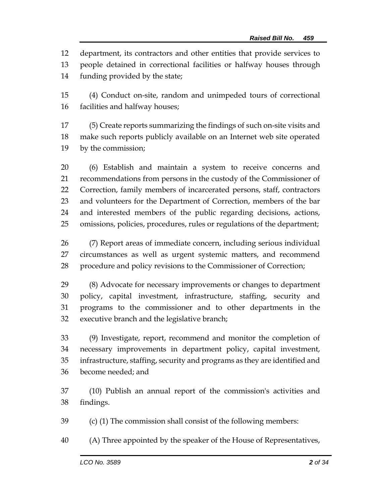department, its contractors and other entities that provide services to

 people detained in correctional facilities or halfway houses through funding provided by the state;

 (4) Conduct on-site, random and unimpeded tours of correctional facilities and halfway houses;

 (5) Create reports summarizing the findings of such on-site visits and make such reports publicly available on an Internet web site operated by the commission;

 (6) Establish and maintain a system to receive concerns and recommendations from persons in the custody of the Commissioner of Correction, family members of incarcerated persons, staff, contractors and volunteers for the Department of Correction, members of the bar and interested members of the public regarding decisions, actions, omissions, policies, procedures, rules or regulations of the department;

 (7) Report areas of immediate concern, including serious individual circumstances as well as urgent systemic matters, and recommend procedure and policy revisions to the Commissioner of Correction;

 (8) Advocate for necessary improvements or changes to department policy, capital investment, infrastructure, staffing, security and programs to the commissioner and to other departments in the executive branch and the legislative branch;

 (9) Investigate, report, recommend and monitor the completion of necessary improvements in department policy, capital investment, infrastructure, staffing, security and programs as they are identified and become needed; and

 (10) Publish an annual report of the commission's activities and findings.

(c) (1) The commission shall consist of the following members:

(A) Three appointed by the speaker of the House of Representatives,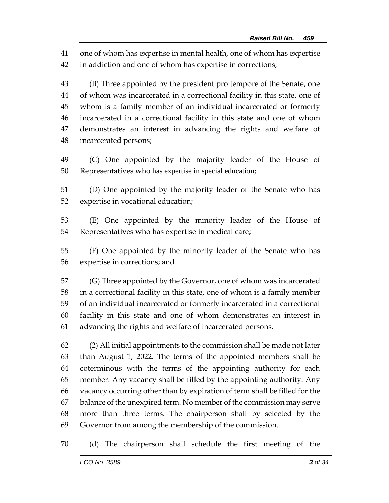one of whom has expertise in mental health, one of whom has expertise in addiction and one of whom has expertise in corrections;

 (B) Three appointed by the president pro tempore of the Senate, one of whom was incarcerated in a correctional facility in this state, one of whom is a family member of an individual incarcerated or formerly incarcerated in a correctional facility in this state and one of whom demonstrates an interest in advancing the rights and welfare of incarcerated persons;

 (C) One appointed by the majority leader of the House of Representatives who has expertise in special education;

 (D) One appointed by the majority leader of the Senate who has expertise in vocational education;

 (E) One appointed by the minority leader of the House of Representatives who has expertise in medical care;

 (F) One appointed by the minority leader of the Senate who has expertise in corrections; and

 (G) Three appointed by the Governor, one of whom was incarcerated in a correctional facility in this state, one of whom is a family member of an individual incarcerated or formerly incarcerated in a correctional facility in this state and one of whom demonstrates an interest in advancing the rights and welfare of incarcerated persons.

 (2) All initial appointments to the commission shall be made not later than August 1, 2022. The terms of the appointed members shall be coterminous with the terms of the appointing authority for each member. Any vacancy shall be filled by the appointing authority. Any vacancy occurring other than by expiration of term shall be filled for the balance of the unexpired term. No member of the commission may serve more than three terms. The chairperson shall by selected by the Governor from among the membership of the commission.

(d) The chairperson shall schedule the first meeting of the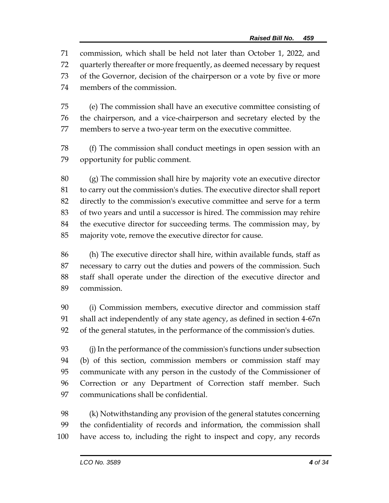commission, which shall be held not later than October 1, 2022, and quarterly thereafter or more frequently, as deemed necessary by request of the Governor, decision of the chairperson or a vote by five or more members of the commission.

 (e) The commission shall have an executive committee consisting of the chairperson, and a vice-chairperson and secretary elected by the members to serve a two-year term on the executive committee.

 (f) The commission shall conduct meetings in open session with an opportunity for public comment.

 (g) The commission shall hire by majority vote an executive director to carry out the commission's duties. The executive director shall report directly to the commission's executive committee and serve for a term of two years and until a successor is hired. The commission may rehire the executive director for succeeding terms. The commission may, by majority vote, remove the executive director for cause.

 (h) The executive director shall hire, within available funds, staff as necessary to carry out the duties and powers of the commission. Such staff shall operate under the direction of the executive director and commission.

 (i) Commission members, executive director and commission staff shall act independently of any state agency, as defined in section 4-67n of the general statutes, in the performance of the commission's duties.

 (j) In the performance of the commission's functions under subsection (b) of this section, commission members or commission staff may communicate with any person in the custody of the Commissioner of Correction or any Department of Correction staff member. Such communications shall be confidential.

 (k) Notwithstanding any provision of the general statutes concerning the confidentiality of records and information, the commission shall have access to, including the right to inspect and copy, any records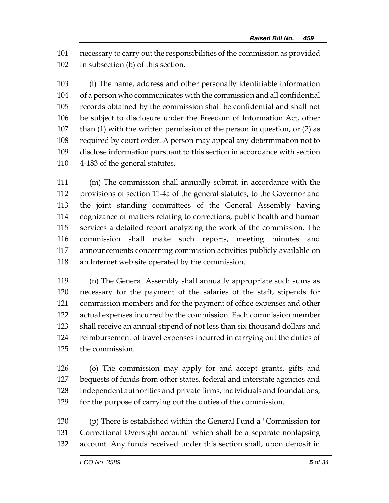necessary to carry out the responsibilities of the commission as provided in subsection (b) of this section.

 (l) The name, address and other personally identifiable information of a person who communicates with the commission and all confidential records obtained by the commission shall be confidential and shall not be subject to disclosure under the Freedom of Information Act, other than (1) with the written permission of the person in question, or (2) as required by court order. A person may appeal any determination not to disclose information pursuant to this section in accordance with section 4-183 of the general statutes.

 (m) The commission shall annually submit, in accordance with the provisions of section 11-4a of the general statutes, to the Governor and the joint standing committees of the General Assembly having cognizance of matters relating to corrections, public health and human services a detailed report analyzing the work of the commission. The commission shall make such reports, meeting minutes and announcements concerning commission activities publicly available on an Internet web site operated by the commission.

 (n) The General Assembly shall annually appropriate such sums as necessary for the payment of the salaries of the staff, stipends for commission members and for the payment of office expenses and other actual expenses incurred by the commission. Each commission member shall receive an annual stipend of not less than six thousand dollars and reimbursement of travel expenses incurred in carrying out the duties of the commission.

 (o) The commission may apply for and accept grants, gifts and bequests of funds from other states, federal and interstate agencies and independent authorities and private firms, individuals and foundations, for the purpose of carrying out the duties of the commission.

 (p) There is established within the General Fund a "Commission for Correctional Oversight account" which shall be a separate nonlapsing account. Any funds received under this section shall, upon deposit in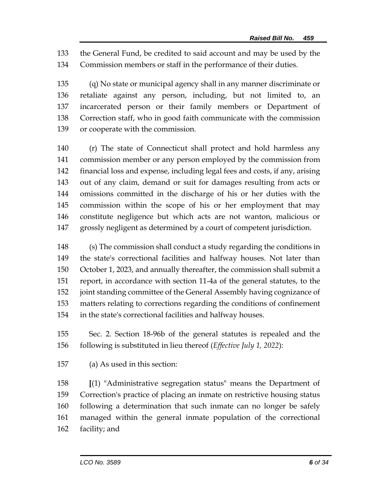the General Fund, be credited to said account and may be used by the Commission members or staff in the performance of their duties.

 (q) No state or municipal agency shall in any manner discriminate or retaliate against any person, including, but not limited to, an incarcerated person or their family members or Department of Correction staff, who in good faith communicate with the commission or cooperate with the commission.

 (r) The state of Connecticut shall protect and hold harmless any commission member or any person employed by the commission from financial loss and expense, including legal fees and costs, if any, arising out of any claim, demand or suit for damages resulting from acts or omissions committed in the discharge of his or her duties with the commission within the scope of his or her employment that may constitute negligence but which acts are not wanton, malicious or grossly negligent as determined by a court of competent jurisdiction.

 (s) The commission shall conduct a study regarding the conditions in the state's correctional facilities and halfway houses. Not later than October 1, 2023, and annually thereafter, the commission shall submit a report, in accordance with section 11-4a of the general statutes, to the joint standing committee of the General Assembly having cognizance of matters relating to corrections regarding the conditions of confinement in the state's correctional facilities and halfway houses.

 Sec. 2. Section 18-96b of the general statutes is repealed and the following is substituted in lieu thereof (*Effective July 1, 2022*):

(a) As used in this section:

 **[**(1) "Administrative segregation status" means the Department of Correction's practice of placing an inmate on restrictive housing status following a determination that such inmate can no longer be safely managed within the general inmate population of the correctional facility; and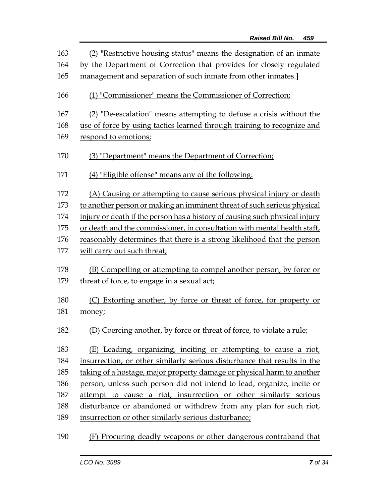| 163 | (2) "Restrictive housing status" means the designation of an inmate         |
|-----|-----------------------------------------------------------------------------|
| 164 | by the Department of Correction that provides for closely regulated         |
| 165 | management and separation of such inmate from other inmates.]               |
| 166 | (1) "Commissioner" means the Commissioner of Correction;                    |
| 167 | (2) "De-escalation" means attempting to defuse a crisis without the         |
| 168 | use of force by using tactics learned through training to recognize and     |
| 169 | respond to emotions;                                                        |
| 170 | (3) "Department" means the Department of Correction;                        |
| 171 | (4) "Eligible offense" means any of the following:                          |
| 172 | (A) Causing or attempting to cause serious physical injury or death         |
| 173 | to another person or making an imminent threat of such serious physical     |
| 174 | injury or death if the person has a history of causing such physical injury |
| 175 | or death and the commissioner, in consultation with mental health staff,    |
| 176 | reasonably determines that there is a strong likelihood that the person     |
| 177 | will carry out such threat;                                                 |
| 178 | (B) Compelling or attempting to compel another person, by force or          |
| 179 | threat of force, to engage in a sexual act;                                 |
| 180 | (C) Extorting another, by force or threat of force, for property or         |
| 181 | money;                                                                      |
| 182 | (D) Coercing another, by force or threat of force, to violate a rule;       |
| 183 | (E) Leading, organizing, inciting or attempting to cause a riot,            |
| 184 | insurrection, or other similarly serious disturbance that results in the    |
| 185 | taking of a hostage, major property damage or physical harm to another      |
| 186 | person, unless such person did not intend to lead, organize, incite or      |
| 187 | attempt to cause a riot, insurrection or other similarly serious            |
| 188 | disturbance or abandoned or withdrew from any plan for such riot,           |
| 189 | insurrection or other similarly serious disturbance;                        |
| 190 | (F) Procuring deadly weapons or other dangerous contraband that             |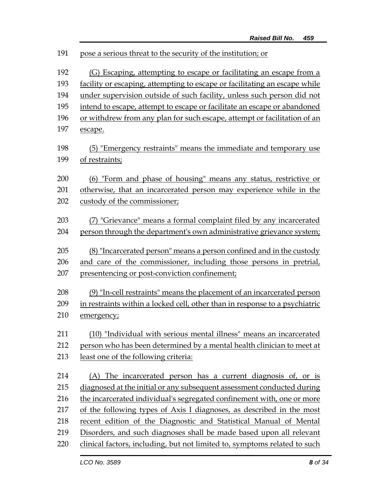| 191 | pose a serious threat to the security of the institution; or                |
|-----|-----------------------------------------------------------------------------|
| 192 | (G) Escaping, attempting to escape or facilitating an escape from a         |
| 193 | facility or escaping, attempting to escape or facilitating an escape while  |
| 194 | under supervision outside of such facility, unless such person did not      |
| 195 | intend to escape, attempt to escape or facilitate an escape or abandoned    |
| 196 | or withdrew from any plan for such escape, attempt or facilitation of an    |
| 197 | escape.                                                                     |
| 198 | (5) "Emergency restraints" means the immediate and temporary use            |
| 199 | of restraints;                                                              |
| 200 | (6) "Form and phase of housing" means any status, restrictive or            |
| 201 | otherwise, that an incarcerated person may experience while in the          |
| 202 | custody of the commissioner;                                                |
| 203 | (7) "Grievance" means a formal complaint filed by any incarcerated          |
| 204 | person through the department's own administrative grievance system;        |
| 205 | (8) "Incarcerated person" means a person confined and in the custody        |
| 206 | and care of the commissioner, including those persons in pretrial,          |
| 207 | presentencing or post-conviction confinement;                               |
| 208 | (9) "In-cell restraints" means the placement of an incarcerated person      |
| 209 | in restraints within a locked cell, other than in response to a psychiatric |
| 210 | emergency;                                                                  |
| 211 | (10) "Individual with serious mental illness" means an incarcerated         |
| 212 | person who has been determined by a mental health clinician to meet at      |
| 213 | least one of the following criteria:                                        |
| 214 | (A) The incarcerated person has a current diagnosis of, or is               |
| 215 | diagnosed at the initial or any subsequent assessment conducted during      |
| 216 | the incarcerated individual's segregated confinement with, one or more      |
| 217 | of the following types of Axis I diagnoses, as described in the most        |
| 218 | recent edition of the Diagnostic and Statistical Manual of Mental           |
| 219 | Disorders, and such diagnoses shall be made based upon all relevant         |
| 220 | clinical factors, including, but not limited to, symptoms related to such   |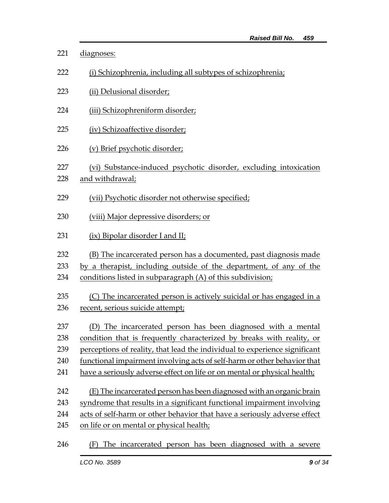| 221        | diagnoses:                                                                           |
|------------|--------------------------------------------------------------------------------------|
| 222        | (i) Schizophrenia, including all subtypes of schizophrenia;                          |
| 223        | (ii) Delusional disorder;                                                            |
| 224        | (iii) Schizophreniform disorder;                                                     |
| 225        | (iv) Schizoaffective disorder;                                                       |
| 226        | (v) Brief psychotic disorder;                                                        |
| 227<br>228 | (vi) Substance-induced psychotic disorder, excluding intoxication<br>and withdrawal; |
| 229        | (vii) Psychotic disorder not otherwise specified;                                    |
| 230        | (viii) Major depressive disorders; or                                                |
| 231        | (ix) Bipolar disorder I and II;                                                      |
| 232        | (B) The incarcerated person has a documented, past diagnosis made                    |
| 233        | by a therapist, including outside of the department, of any of the                   |
| 234        | conditions listed in subparagraph (A) of this subdivision;                           |
| 235        | (C) The incarcerated person is actively suicidal or has engaged in a                 |
| 236        | recent, serious suicide attempt;                                                     |
| 237        | (D) The incarcerated person has been diagnosed with a mental                         |
| 238        | condition that is frequently characterized by breaks with reality, or                |
| 239        | perceptions of reality, that lead the individual to experience significant           |
| 240        | functional impairment involving acts of self-harm or other behavior that             |
| 241        | have a seriously adverse effect on life or on mental or physical health;             |
| 242        | (E) The incarcerated person has been diagnosed with an organic brain                 |
| 243        | syndrome that results in a significant functional impairment involving               |
| 244        | acts of self-harm or other behavior that have a seriously adverse effect             |
| 245        | on life or on mental or physical health;                                             |
| 246        | (F) The incarcerated person has been diagnosed with a severe                         |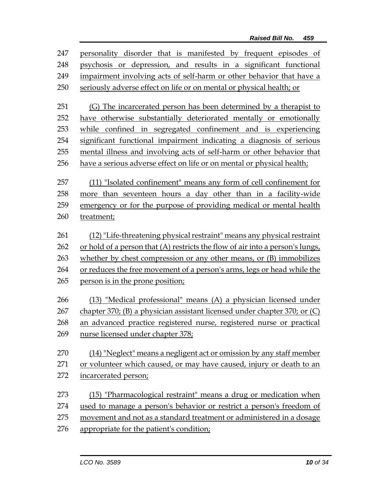| 247 | personality disorder that is manifested by frequent episodes of               |
|-----|-------------------------------------------------------------------------------|
| 248 | psychosis or depression, and results in a significant functional              |
| 249 | impairment involving acts of self-harm or other behavior that have a          |
| 250 | seriously adverse effect on life or on mental or physical health; or          |
| 251 | (G) The incarcerated person has been determined by a therapist to             |
| 252 | have otherwise substantially deteriorated mentally or emotionally             |
| 253 | while confined in segregated confinement and is experiencing                  |
| 254 | significant functional impairment indicating a diagnosis of serious           |
| 255 | mental illness and involving acts of self-harm or other behavior that         |
| 256 | have a serious adverse effect on life or on mental or physical health;        |
|     |                                                                               |
| 257 | (11) "Isolated confinement" means any form of cell confinement for            |
| 258 | more than seventeen hours a day other than in a facility-wide                 |
| 259 | emergency or for the purpose of providing medical or mental health            |
| 260 | treatment;                                                                    |
| 261 | (12) "Life-threatening physical restraint" means any physical restraint       |
| 262 | or hold of a person that (A) restricts the flow of air into a person's lungs, |
| 263 | whether by chest compression or any other means, or (B) immobilizes           |
| 264 | or reduces the free movement of a person's arms, legs or head while the       |
| 265 | person is in the prone position;                                              |
|     |                                                                               |
| 266 | (13) "Medical professional" means (A) a physician licensed under              |
| 267 | chapter 370; (B) a physician assistant licensed under chapter 370; or (C)     |
| 268 | an advanced practice registered nurse, registered nurse or practical          |
| 269 | nurse licensed under chapter 378;                                             |
| 270 | (14) "Neglect" means a negligent act or omission by any staff member          |
| 271 | or volunteer which caused, or may have caused, injury or death to an          |
| 272 | incarcerated person;                                                          |
|     |                                                                               |
| 273 | (15) "Pharmacological restraint" means a drug or medication when              |
| 274 | used to manage a person's behavior or restrict a person's freedom of          |
| 275 | movement and not as a standard treatment or administered in a dosage          |
| 276 | appropriate for the patient's condition;                                      |
|     |                                                                               |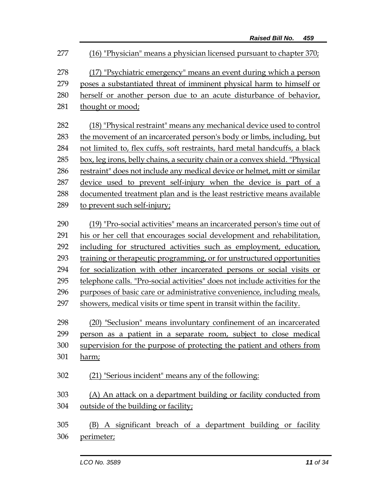*LCO No. 3589**11 of 34* (16) "Physician" means a physician licensed pursuant to chapter 370; (17) "Psychiatric emergency" means an event during which a person poses a substantiated threat of imminent physical harm to himself or herself or another person due to an acute disturbance of behavior, 281 thought or mood; (18) "Physical restraint" means any mechanical device used to control the movement of an incarcerated person's body or limbs, including, but not limited to, flex cuffs, soft restraints, hard metal handcuffs, a black box, leg irons, belly chains, a security chain or a convex shield. "Physical restraint" does not include any medical device or helmet, mitt or similar device used to prevent self-injury when the device is part of a documented treatment plan and is the least restrictive means available to prevent such self-injury; (19) "Pro-social activities" means an incarcerated person's time out of his or her cell that encourages social development and rehabilitation, including for structured activities such as employment, education, training or therapeutic programming, or for unstructured opportunities for socialization with other incarcerated persons or social visits or telephone calls. "Pro-social activities" does not include activities for the purposes of basic care or administrative convenience, including meals, 297 showers, medical visits or time spent in transit within the facility. (20) "Seclusion" means involuntary confinement of an incarcerated person as a patient in a separate room, subject to close medical supervision for the purpose of protecting the patient and others from harm; (21) "Serious incident" means any of the following: (A) An attack on a department building or facility conducted from outside of the building or facility; (B) A significant breach of a department building or facility perimeter;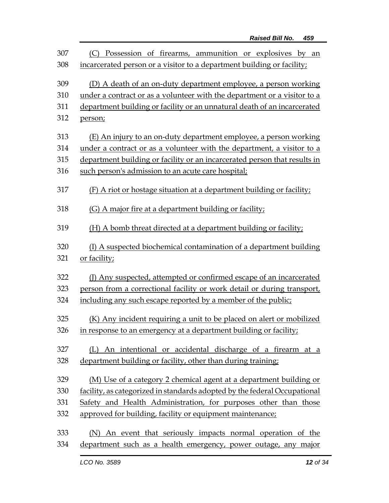| 307 | Possession of firearms, ammunition or explosives by an<br>(C)             |
|-----|---------------------------------------------------------------------------|
| 308 | incarcerated person or a visitor to a department building or facility;    |
| 309 | (D) A death of an on-duty department employee, a person working           |
| 310 | under a contract or as a volunteer with the department or a visitor to a  |
| 311 | department building or facility or an unnatural death of an incarcerated  |
| 312 | person;                                                                   |
| 313 | (E) An injury to an on-duty department employee, a person working         |
| 314 | under a contract or as a volunteer with the department, a visitor to a    |
| 315 | department building or facility or an incarcerated person that results in |
| 316 | such person's admission to an acute care hospital;                        |
| 317 | (F) A riot or hostage situation at a department building or facility;     |
| 318 | (G) A major fire at a department building or facility;                    |
| 319 | (H) A bomb threat directed at a department building or facility;          |
| 320 | (I) A suspected biochemical contamination of a department building        |
| 321 | or facility;                                                              |
| 322 | (J) Any suspected, attempted or confirmed escape of an incarcerated       |
| 323 | person from a correctional facility or work detail or during transport,   |
| 324 | including any such escape reported by a member of the public;             |
| 325 | (K) Any incident requiring a unit to be placed on alert or mobilized      |
| 326 | in response to an emergency at a department building or facility;         |
| 327 | (L) An intentional or accidental discharge of a firearm at a              |
| 328 | department building or facility, other than during training;              |
| 329 | (M) Use of a category 2 chemical agent at a department building or        |
| 330 | facility, as categorized in standards adopted by the federal Occupational |
| 331 | Safety and Health Administration, for purposes other than those           |
| 332 | approved for building, facility or equipment maintenance;                 |
| 333 | (N) An event that seriously impacts normal operation of the               |
| 334 | department such as a health emergency, power outage, any major            |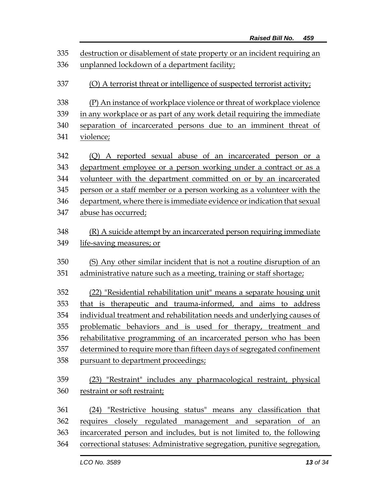| 335 | destruction or disablement of state property or an incident requiring an |
|-----|--------------------------------------------------------------------------|
| 336 | unplanned lockdown of a department facility;                             |
| 337 | (O) A terrorist threat or intelligence of suspected terrorist activity;  |
| 338 | (P) An instance of workplace violence or threat of workplace violence    |
| 339 | in any workplace or as part of any work detail requiring the immediate   |
| 340 | separation of incarcerated persons due to an imminent threat of          |
| 341 | violence;                                                                |
| 342 | (Q) A reported sexual abuse of an incarcerated person or a               |
| 343 | department employee or a person working under a contract or as a         |
| 344 | volunteer with the department committed on or by an incarcerated         |
| 345 | person or a staff member or a person working as a volunteer with the     |
| 346 | department, where there is immediate evidence or indication that sexual  |
| 347 | abuse has occurred;                                                      |
| 348 | (R) A suicide attempt by an incarcerated person requiring immediate      |
| 349 | life-saving measures; or                                                 |
| 350 | (S) Any other similar incident that is not a routine disruption of an    |
| 351 | administrative nature such as a meeting, training or staff shortage;     |
| 352 | (22) "Residential rehabilitation unit" means a separate housing unit     |
| 353 | that is therapeutic and trauma-informed, and aims to address             |
| 354 | individual treatment and rehabilitation needs and underlying causes of   |
| 355 | problematic behaviors and is used for therapy, treatment and             |
| 356 | rehabilitative programming of an incarcerated person who has been        |
| 357 | determined to require more than fifteen days of segregated confinement   |
| 358 | pursuant to department proceedings;                                      |
| 359 | (23) "Restraint" includes any pharmacological restraint, physical        |
| 360 | restraint or soft restraint;                                             |
| 361 | (24) "Restrictive housing status" means any classification that          |
| 362 | requires closely regulated management and separation of an               |
| 363 | incarcerated person and includes, but is not limited to, the following   |
| 364 | correctional statuses: Administrative segregation, punitive segregation, |
|     |                                                                          |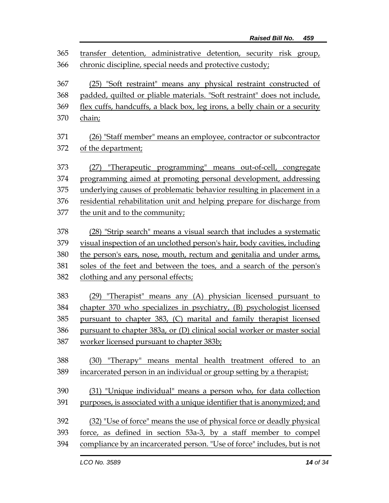| 365 | transfer detention, administrative detention, security risk group,         |
|-----|----------------------------------------------------------------------------|
| 366 | chronic discipline, special needs and protective custody;                  |
| 367 | (25) "Soft restraint" means any physical restraint constructed of          |
| 368 | padded, quilted or pliable materials. "Soft restraint" does not include,   |
| 369 | flex cuffs, handcuffs, a black box, leg irons, a belly chain or a security |
| 370 | chain;                                                                     |
| 371 | (26) "Staff member" means an employee, contractor or subcontractor         |
| 372 | of the department;                                                         |
| 373 | (27) "Therapeutic programming" means out-of-cell, congregate               |
| 374 | programming aimed at promoting personal development, addressing            |
| 375 | underlying causes of problematic behavior resulting in placement in a      |
| 376 | residential rehabilitation unit and helping prepare for discharge from     |
| 377 | the unit and to the community;                                             |
| 378 | (28) "Strip search" means a visual search that includes a systematic       |
| 379 | visual inspection of an unclothed person's hair, body cavities, including  |
| 380 | the person's ears, nose, mouth, rectum and genitalia and under arms,       |
| 381 | soles of the feet and between the toes, and a search of the person's       |
| 382 | clothing and any personal effects;                                         |
| 383 | (29) "Therapist" means any (A) physician licensed pursuant to              |
| 384 | chapter 370 who specializes in psychiatry, (B) psychologist licensed       |
| 385 | pursuant to chapter 383, (C) marital and family therapist licensed         |
| 386 | pursuant to chapter 383a, or (D) clinical social worker or master social   |
| 387 | worker licensed pursuant to chapter 383b;                                  |
| 388 | (30) "Therapy" means mental health treatment offered to an                 |
| 389 | incarcerated person in an individual or group setting by a therapist;      |
| 390 | (31) "Unique individual" means a person who, for data collection           |
| 391 | purposes, is associated with a unique identifier that is anonymized; and   |
| 392 | (32) "Use of force" means the use of physical force or deadly physical     |
| 393 | force, as defined in section 53a-3, by a staff member to compel            |
| 394 | compliance by an incarcerated person. "Use of force" includes, but is not  |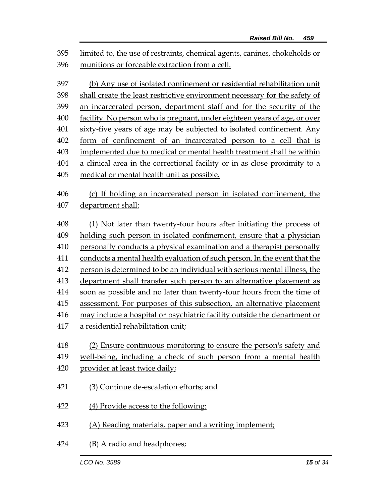*Raised Bill No. 459* limited to, the use of restraints, chemical agents, canines, chokeholds or munitions or forceable extraction from a cell. (b) Any use of isolated confinement or residential rehabilitation unit shall create the least restrictive environment necessary for the safety of an incarcerated person, department staff and for the security of the facility. No person who is pregnant, under eighteen years of age, or over sixty-five years of age may be subjected to isolated confinement. Any form of confinement of an incarcerated person to a cell that is implemented due to medical or mental health treatment shall be within a clinical area in the correctional facility or in as close proximity to a medical or mental health unit as possible**.** (c) If holding an incarcerated person in isolated confinement, the department shall: (1) Not later than twenty-four hours after initiating the process of holding such person in isolated confinement, ensure that a physician personally conducts a physical examination and a therapist personally conducts a mental health evaluation of such person. In the event that the person is determined to be an individual with serious mental illness, the department shall transfer such person to an alternative placement as soon as possible and no later than twenty-four hours from the time of assessment. For purposes of this subsection, an alternative placement may include a hospital or psychiatric facility outside the department or a residential rehabilitation unit; (2) Ensure continuous monitoring to ensure the person's safety and well-being, including a check of such person from a mental health provider at least twice daily;

- (3) Continue de-escalation efforts; and
- (4) Provide access to the following:
- (A) Reading materials, paper and a writing implement;
- (B) A radio and headphones;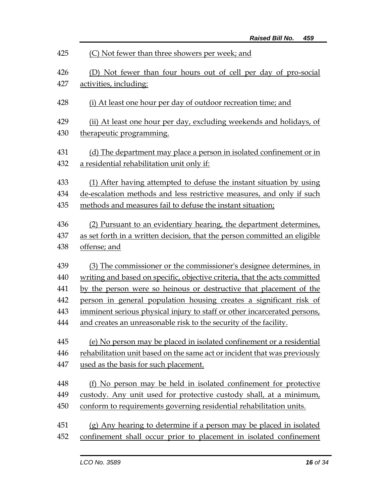| 425 | (C) Not fewer than three showers per week; and                             |
|-----|----------------------------------------------------------------------------|
| 426 | (D) Not fewer than four hours out of cell per day of pro-social            |
| 427 | activities, including:                                                     |
| 428 | (i) At least one hour per day of outdoor recreation time; and              |
| 429 | (ii) At least one hour per day, excluding weekends and holidays, of        |
| 430 | therapeutic programming.                                                   |
| 431 | (d) The department may place a person in isolated confinement or in        |
| 432 | a residential rehabilitation unit only if:                                 |
| 433 | (1) After having attempted to defuse the instant situation by using        |
| 434 | de-escalation methods and less restrictive measures, and only if such      |
| 435 | methods and measures fail to defuse the instant situation;                 |
| 436 | (2) Pursuant to an evidentiary hearing, the department determines,         |
| 437 | as set forth in a written decision, that the person committed an eligible  |
| 438 | offense; and                                                               |
| 439 | (3) The commissioner or the commissioner's designee determines, in         |
| 440 | writing and based on specific, objective criteria, that the acts committed |
| 441 | by the person were so heinous or destructive that placement of the         |
| 442 | person in general population housing creates a significant risk of         |
| 443 | imminent serious physical injury to staff or other incarcerated persons,   |
| 444 | and creates an unreasonable risk to the security of the facility.          |
| 445 | (e) No person may be placed in isolated confinement or a residential       |
| 446 | rehabilitation unit based on the same act or incident that was previously  |
| 447 | used as the basis for such placement.                                      |
| 448 | (f) No person may be held in isolated confinement for protective           |
| 449 | custody. Any unit used for protective custody shall, at a minimum,         |
| 450 | conform to requirements governing residential rehabilitation units.        |
| 451 | (g) Any hearing to determine if a person may be placed in isolated         |
| 452 | confinement shall occur prior to placement in isolated confinement         |
|     |                                                                            |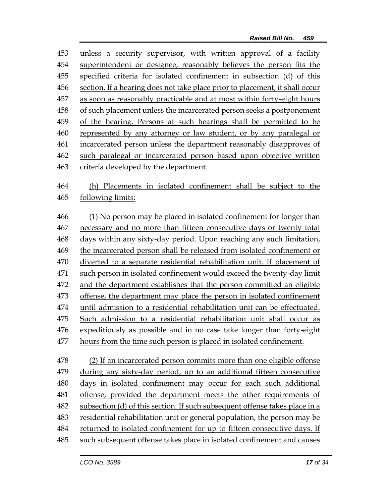unless a security supervisor, with written approval of a facility 454 superintendent or designee, reasonably believes the person fits the specified criteria for isolated confinement in subsection (d) of this section. If a hearing does not take place prior to placement, it shall occur as soon as reasonably practicable and at most within forty-eight hours of such placement unless the incarcerated person seeks a postponement of the hearing. Persons at such hearings shall be permitted to be represented by any attorney or law student, or by any paralegal or incarcerated person unless the department reasonably disapproves of such paralegal or incarcerated person based upon objective written criteria developed by the department.

 (h) Placements in isolated confinement shall be subject to the following limits:

 (1) No person may be placed in isolated confinement for longer than necessary and no more than fifteen consecutive days or twenty total days within any sixty-day period. Upon reaching any such limitation, 469 the incarcerated person shall be released from isolated confinement or diverted to a separate residential rehabilitation unit. If placement of such person in isolated confinement would exceed the twenty-day limit and the department establishes that the person committed an eligible offense, the department may place the person in isolated confinement until admission to a residential rehabilitation unit can be effectuated. Such admission to a residential rehabilitation unit shall occur as expeditiously as possible and in no case take longer than forty-eight hours from the time such person is placed in isolated confinement.

 (2) If an incarcerated person commits more than one eligible offense during any sixty-day period, up to an additional fifteen consecutive days in isolated confinement may occur for each such additional offense, provided the department meets the other requirements of subsection (d) of this section. If such subsequent offense takes place in a residential rehabilitation unit or general population, the person may be returned to isolated confinement for up to fifteen consecutive days. If such subsequent offense takes place in isolated confinement and causes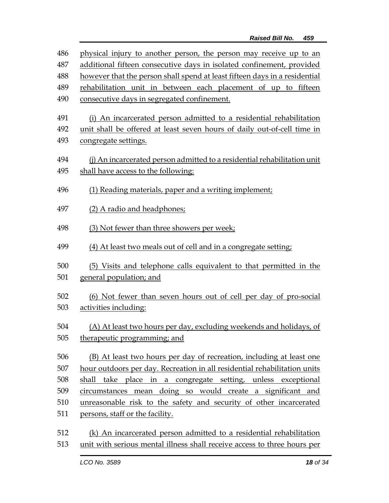| 486 | physical injury to another person, the person may receive up to an         |
|-----|----------------------------------------------------------------------------|
| 487 | additional fifteen consecutive days in isolated confinement, provided      |
| 488 | however that the person shall spend at least fifteen days in a residential |
| 489 | rehabilitation unit in between each placement of up to fifteen             |
| 490 | consecutive days in segregated confinement.                                |
|     |                                                                            |
| 491 | (i) An incarcerated person admitted to a residential rehabilitation        |
| 492 | unit shall be offered at least seven hours of daily out-of-cell time in    |
| 493 | congregate settings.                                                       |
| 494 | (j) An incarcerated person admitted to a residential rehabilitation unit   |
| 495 | shall have access to the following:                                        |
|     |                                                                            |
| 496 | (1) Reading materials, paper and a writing implement;                      |
| 497 | (2) A radio and headphones;                                                |
|     |                                                                            |
| 498 | (3) Not fewer than three showers per week;                                 |
|     |                                                                            |
| 499 | (4) At least two meals out of cell and in a congregate setting;            |
| 500 | (5) Visits and telephone calls equivalent to that permitted in the         |
| 501 | general population; and                                                    |
|     |                                                                            |
| 502 | (6) Not fewer than seven hours out of cell per day of pro-social           |
| 503 | activities including:                                                      |
| 504 | (A) At least two hours per day, excluding weekends and holidays, of        |
| 505 | therapeutic programming; and                                               |
|     |                                                                            |
| 506 | (B) At least two hours per day of recreation, including at least one       |
| 507 | hour outdoors per day. Recreation in all residential rehabilitation units  |
| 508 | shall take place in a congregate setting, unless exceptional               |
| 509 | circumstances mean doing so would create a significant and                 |
| 510 | unreasonable risk to the safety and security of other incarcerated         |
| 511 | persons, staff or the facility.                                            |
|     |                                                                            |
| 512 | (k) An incarcerated person admitted to a residential rehabilitation        |

513 unit with serious mental illness shall receive access to three hours per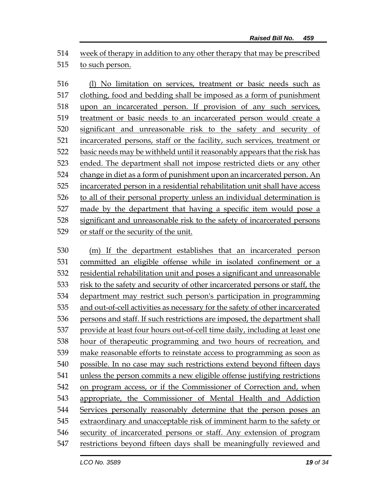week of therapy in addition to any other therapy that may be prescribed to such person.

 (l) No limitation on services, treatment or basic needs such as clothing, food and bedding shall be imposed as a form of punishment upon an incarcerated person. If provision of any such services, treatment or basic needs to an incarcerated person would create a significant and unreasonable risk to the safety and security of incarcerated persons, staff or the facility, such services, treatment or basic needs may be withheld until it reasonably appears that the risk has ended. The department shall not impose restricted diets or any other change in diet as a form of punishment upon an incarcerated person. An incarcerated person in a residential rehabilitation unit shall have access to all of their personal property unless an individual determination is made by the department that having a specific item would pose a significant and unreasonable risk to the safety of incarcerated persons or staff or the security of the unit.

 (m) If the department establishes that an incarcerated person committed an eligible offense while in isolated confinement or a residential rehabilitation unit and poses a significant and unreasonable risk to the safety and security of other incarcerated persons or staff, the department may restrict such person's participation in programming and out-of-cell activities as necessary for the safety of other incarcerated persons and staff. If such restrictions are imposed, the department shall provide at least four hours out-of-cell time daily, including at least one hour of therapeutic programming and two hours of recreation, and make reasonable efforts to reinstate access to programming as soon as possible. In no case may such restrictions extend beyond fifteen days unless the person commits a new eligible offense justifying restrictions on program access, or if the Commissioner of Correction and, when appropriate, the Commissioner of Mental Health and Addiction Services personally reasonably determine that the person poses an extraordinary and unacceptable risk of imminent harm to the safety or security of incarcerated persons or staff. Any extension of program restrictions beyond fifteen days shall be meaningfully reviewed and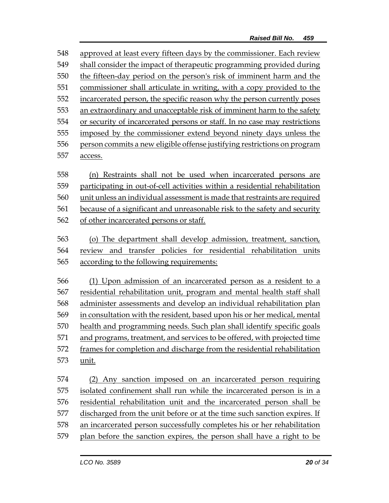approved at least every fifteen days by the commissioner. Each review shall consider the impact of therapeutic programming provided during the fifteen-day period on the person's risk of imminent harm and the commissioner shall articulate in writing, with a copy provided to the incarcerated person, the specific reason why the person currently poses an extraordinary and unacceptable risk of imminent harm to the safety or security of incarcerated persons or staff. In no case may restrictions imposed by the commissioner extend beyond ninety days unless the person commits a new eligible offense justifying restrictions on program access. (n) Restraints shall not be used when incarcerated persons are

 participating in out-of-cell activities within a residential rehabilitation unit unless an individual assessment is made that restraints are required because of a significant and unreasonable risk to the safety and security of other incarcerated persons or staff.

 (o) The department shall develop admission, treatment, sanction, review and transfer policies for residential rehabilitation units according to the following requirements:

 (1) Upon admission of an incarcerated person as a resident to a residential rehabilitation unit, program and mental health staff shall administer assessments and develop an individual rehabilitation plan in consultation with the resident, based upon his or her medical, mental health and programming needs. Such plan shall identify specific goals and programs, treatment, and services to be offered, with projected time frames for completion and discharge from the residential rehabilitation unit.

 (2) Any sanction imposed on an incarcerated person requiring isolated confinement shall run while the incarcerated person is in a residential rehabilitation unit and the incarcerated person shall be discharged from the unit before or at the time such sanction expires. If an incarcerated person successfully completes his or her rehabilitation plan before the sanction expires, the person shall have a right to be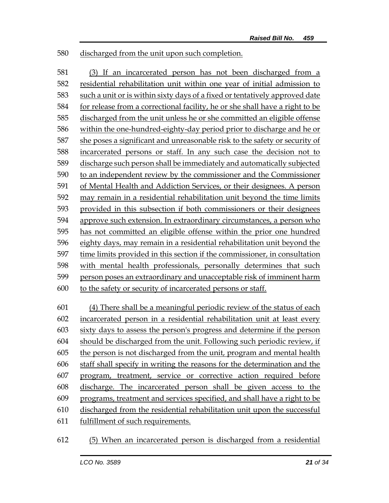discharged from the unit upon such completion.

 (3) If an incarcerated person has not been discharged from a residential rehabilitation unit within one year of initial admission to such a unit or is within sixty days of a fixed or tentatively approved date for release from a correctional facility, he or she shall have a right to be discharged from the unit unless he or she committed an eligible offense within the one-hundred-eighty-day period prior to discharge and he or she poses a significant and unreasonable risk to the safety or security of incarcerated persons or staff. In any such case the decision not to discharge such person shall be immediately and automatically subjected to an independent review by the commissioner and the Commissioner of Mental Health and Addiction Services, or their designees. A person may remain in a residential rehabilitation unit beyond the time limits provided in this subsection if both commissioners or their designees approve such extension. In extraordinary circumstances, a person who has not committed an eligible offense within the prior one hundred eighty days, may remain in a residential rehabilitation unit beyond the time limits provided in this section if the commissioner, in consultation with mental health professionals, personally determines that such person poses an extraordinary and unacceptable risk of imminent harm to the safety or security of incarcerated persons or staff.

- (4) There shall be a meaningful periodic review of the status of each incarcerated person in a residential rehabilitation unit at least every sixty days to assess the person's progress and determine if the person should be discharged from the unit. Following such periodic review, if the person is not discharged from the unit, program and mental health staff shall specify in writing the reasons for the determination and the program, treatment, service or corrective action required before discharge. The incarcerated person shall be given access to the programs, treatment and services specified, and shall have a right to be discharged from the residential rehabilitation unit upon the successful fulfillment of such requirements.
- (5) When an incarcerated person is discharged from a residential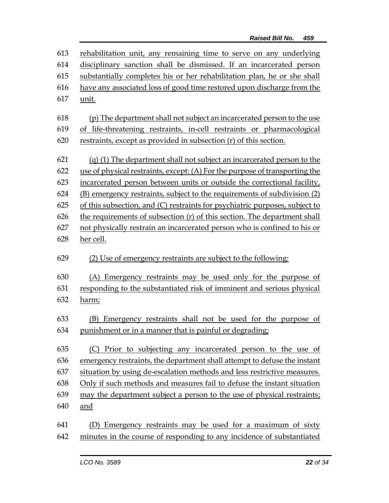| 613 | rehabilitation unit, any remaining time to serve on any underlying          |
|-----|-----------------------------------------------------------------------------|
| 614 | disciplinary sanction shall be dismissed. If an incarcerated person         |
| 615 | substantially completes his or her rehabilitation plan, he or she shall     |
| 616 | have any associated loss of good time restored upon discharge from the      |
| 617 | unit.                                                                       |
| 618 | (p) The department shall not subject an incarcerated person to the use      |
| 619 | of life-threatening restraints, in-cell restraints or pharmacological       |
| 620 | restraints, except as provided in subsection (r) of this section.           |
| 621 | (q) (1) The department shall not subject an incarcerated person to the      |
| 622 | use of physical restraints, except: (A) For the purpose of transporting the |
| 623 | incarcerated person between units or outside the correctional facility,     |
| 624 | (B) emergency restraints, subject to the requirements of subdivision (2)    |
| 625 | of this subsection, and (C) restraints for psychiatric purposes, subject to |
| 626 | the requirements of subsection (r) of this section. The department shall    |
| 627 | not physically restrain an incarcerated person who is confined to his or    |
| 628 | her cell.                                                                   |
|     |                                                                             |
|     |                                                                             |
| 629 | (2) Use of emergency restraints are subject to the following:               |
| 630 | (A) Emergency restraints may be used only for the purpose of                |
| 631 | responding to the substantiated risk of imminent and serious physical       |
| 632 | harm;                                                                       |
| 633 | (B) Emergency restraints shall not be used for the purpose of               |
| 634 | punishment or in a manner that is painful or degrading;                     |
| 635 | Prior to subjecting any incarcerated person to the use of<br>(C)            |
| 636 | emergency restraints, the department shall attempt to defuse the instant    |
| 637 | situation by using de-escalation methods and less restrictive measures.     |
| 638 | Only if such methods and measures fail to defuse the instant situation      |
| 639 | may the department subject a person to the use of physical restraints;      |
| 640 | and                                                                         |
| 641 | (D) Emergency restraints may be used for a maximum of sixty                 |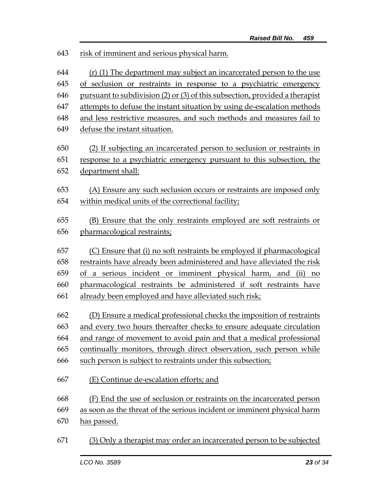| 643 | risk of imminent and serious physical harm.                                 |
|-----|-----------------------------------------------------------------------------|
| 644 | (r) (1) The department may subject an incarcerated person to the use        |
| 645 | of seclusion or restraints in response to a psychiatric emergency           |
| 646 | pursuant to subdivision (2) or (3) of this subsection, provided a therapist |
| 647 | attempts to defuse the instant situation by using de-escalation methods     |
| 648 | and less restrictive measures, and such methods and measures fail to        |
| 649 | defuse the instant situation.                                               |
| 650 | (2) If subjecting an incarcerated person to seclusion or restraints in      |
| 651 | response to a psychiatric emergency pursuant to this subsection, the        |
| 652 | department shall:                                                           |
| 653 | (A) Ensure any such seclusion occurs or restraints are imposed only         |
| 654 | within medical units of the correctional facility;                          |
|     |                                                                             |
| 655 | (B) Ensure that the only restraints employed are soft restraints or         |
| 656 | pharmacological restraints;                                                 |
|     |                                                                             |
| 657 | (C) Ensure that (i) no soft restraints be employed if pharmacological       |
| 658 | restraints have already been administered and have alleviated the risk      |
| 659 | of a serious incident or imminent physical harm, and (ii)<br>no             |
| 660 | pharmacological restraints be administered if soft restraints have          |
| 661 | already been employed and have alleviated such risk;                        |
| 662 | (D) Ensure a medical professional checks the imposition of restraints       |
| 663 | and every two hours thereafter checks to ensure adequate circulation        |
| 664 | and range of movement to avoid pain and that a medical professional         |
| 665 | continually monitors, through direct observation, such person while         |
| 666 | such person is subject to restraints under this subsection;                 |
| 667 | (E) Continue de-escalation efforts; and                                     |
| 668 | (F) End the use of seclusion or restraints on the incarcerated person       |
| 669 | as soon as the threat of the serious incident or imminent physical harm     |
| 670 | has passed.                                                                 |
| 671 | (3) Only a therapist may order an incarcerated person to be subjected       |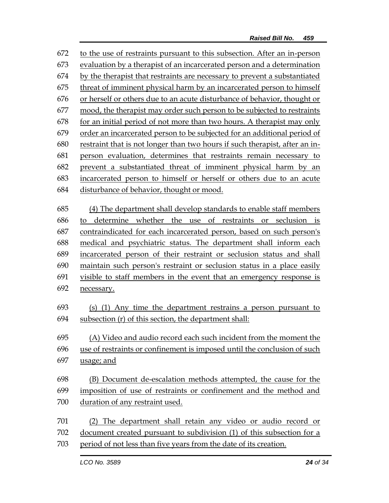to the use of restraints pursuant to this subsection. After an in-person evaluation by a therapist of an incarcerated person and a determination by the therapist that restraints are necessary to prevent a substantiated threat of imminent physical harm by an incarcerated person to himself or herself or others due to an acute disturbance of behavior, thought or mood, the therapist may order such person to be subjected to restraints for an initial period of not more than two hours. A therapist may only order an incarcerated person to be subjected for an additional period of restraint that is not longer than two hours if such therapist, after an in- person evaluation, determines that restraints remain necessary to prevent a substantiated threat of imminent physical harm by an incarcerated person to himself or herself or others due to an acute disturbance of behavior, thought or mood. (4) The department shall develop standards to enable staff members to determine whether the use of restraints or seclusion is contraindicated for each incarcerated person, based on such person's medical and psychiatric status. The department shall inform each incarcerated person of their restraint or seclusion status and shall maintain such person's restraint or seclusion status in a place easily visible to staff members in the event that an emergency response is 692 necessary. (s) (1) Any time the department restrains a person pursuant to subsection (r) of this section, the department shall: (A) Video and audio record each such incident from the moment the use of restraints or confinement is imposed until the conclusion of such usage; and (B) Document de-escalation methods attempted, the cause for the imposition of use of restraints or confinement and the method and duration of any restraint used. (2) The department shall retain any video or audio record or document created pursuant to subdivision (1) of this subsection for a period of not less than five years from the date of its creation.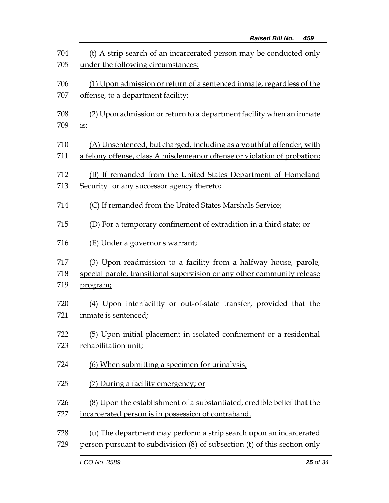| 704 | (t) A strip search of an incarcerated person may be conducted only        |
|-----|---------------------------------------------------------------------------|
| 705 | under the following circumstances:                                        |
| 706 | (1) Upon admission or return of a sentenced inmate, regardless of the     |
| 707 | offense, to a department facility;                                        |
| 708 | (2) Upon admission or return to a department facility when an inmate      |
| 709 | <u>is:</u>                                                                |
| 710 | (A) Unsentenced, but charged, including as a youthful offender, with      |
| 711 | a felony offense, class A misdemeanor offense or violation of probation;  |
| 712 | (B) If remanded from the United States Department of Homeland             |
| 713 | Security or any successor agency thereto;                                 |
| 714 | (C) If remanded from the United States Marshals Service;                  |
| 715 | (D) For a temporary confinement of extradition in a third state; or       |
| 716 | (E) Under a governor's warrant;                                           |
| 717 | (3) Upon readmission to a facility from a halfway house, parole,          |
| 718 | special parole, transitional supervision or any other community release   |
| 719 | program;                                                                  |
| 720 | (4) Upon interfacility or out-of-state transfer, provided that the        |
| 721 | inmate is sentenced;                                                      |
| 722 | (5) Upon initial placement in isolated confinement or a residential       |
| 723 | rehabilitation unit;                                                      |
| 724 | (6) When submitting a specimen for urinalysis;                            |
| 725 | (7) During a facility emergency; or                                       |
| 726 | (8) Upon the establishment of a substantiated, credible belief that the   |
| 727 | incarcerated person is in possession of contraband.                       |
| 728 | (u) The department may perform a strip search upon an incarcerated        |
| 729 | person pursuant to subdivision (8) of subsection (t) of this section only |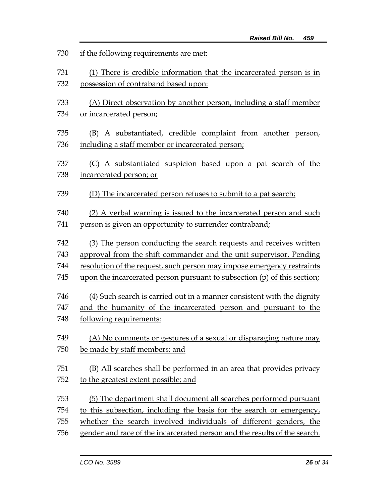| 730 | if the following requirements are met:                                    |
|-----|---------------------------------------------------------------------------|
| 731 | (1) There is credible information that the incarcerated person is in      |
| 732 | possession of contraband based upon:                                      |
| 733 | (A) Direct observation by another person, including a staff member        |
| 734 | or incarcerated person;                                                   |
| 735 | (B) A substantiated, credible complaint from another person,              |
| 736 | including a staff member or incarcerated person;                          |
| 737 | (C) A substantiated suspicion based upon a pat search of the              |
| 738 | incarcerated person; or                                                   |
| 739 | (D) The incarcerated person refuses to submit to a pat search;            |
| 740 | (2) A verbal warning is issued to the incarcerated person and such        |
| 741 | person is given an opportunity to surrender contraband;                   |
| 742 | (3) The person conducting the search requests and receives written        |
| 743 | approval from the shift commander and the unit supervisor. Pending        |
| 744 | resolution of the request, such person may impose emergency restraints    |
| 745 | upon the incarcerated person pursuant to subsection (p) of this section;  |
| 746 | (4) Such search is carried out in a manner consistent with the dignity    |
| 747 | and the humanity of the incarcerated person and pursuant to the           |
| 748 | following requirements:                                                   |
| 749 | (A) No comments or gestures of a sexual or disparaging nature may         |
| 750 | be made by staff members; and                                             |
| 751 | (B) All searches shall be performed in an area that provides privacy      |
| 752 | to the greatest extent possible; and                                      |
| 753 | (5) The department shall document all searches performed pursuant         |
| 754 | to this subsection, including the basis for the search or emergency,      |
| 755 | whether the search involved individuals of different genders, the         |
| 756 | gender and race of the incarcerated person and the results of the search. |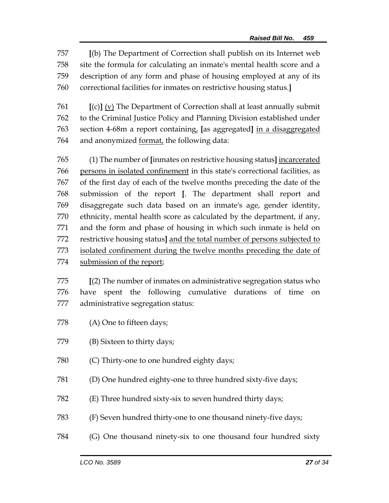**[**(b) The Department of Correction shall publish on its Internet web site the formula for calculating an inmate's mental health score and a description of any form and phase of housing employed at any of its correctional facilities for inmates on restrictive housing status.**]**

 **[**(c)**]** (v) The Department of Correction shall at least annually submit to the Criminal Justice Policy and Planning Division established under section 4-68m a report containing, **[**as aggregated**]** in a disaggregated 764 and anonymized <u>format</u>, the following data:

 (1) The number of **[**inmates on restrictive housing status**]** incarcerated persons in isolated confinement in this state's correctional facilities, as of the first day of each of the twelve months preceding the date of the submission of the report **[**. The department shall report and disaggregate such data based on an inmate's age, gender identity, ethnicity, mental health score as calculated by the department, if any, and the form and phase of housing in which such inmate is held on restrictive housing status**]** and the total number of persons subjected to isolated confinement during the twelve months preceding the date of submission of the report;

 **[**(2) The number of inmates on administrative segregation status who have spent the following cumulative durations of time on administrative segregation status:

- (A) One to fifteen days;
- (B) Sixteen to thirty days;
- (C) Thirty-one to one hundred eighty days;
- (D) One hundred eighty-one to three hundred sixty-five days;
- (E) Three hundred sixty-six to seven hundred thirty days;
- (F) Seven hundred thirty-one to one thousand ninety-five days;
- (G) One thousand ninety-six to one thousand four hundred sixty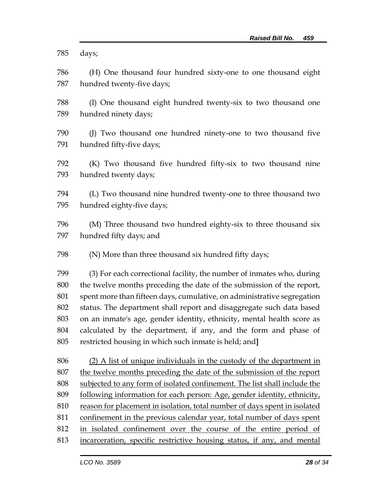days;

 (H) One thousand four hundred sixty-one to one thousand eight hundred twenty-five days;

 (I) One thousand eight hundred twenty-six to two thousand one hundred ninety days;

 (J) Two thousand one hundred ninety-one to two thousand five hundred fifty-five days;

 (K) Two thousand five hundred fifty-six to two thousand nine hundred twenty days;

 (L) Two thousand nine hundred twenty-one to three thousand two hundred eighty-five days;

 (M) Three thousand two hundred eighty-six to three thousand six hundred fifty days; and

(N) More than three thousand six hundred fifty days;

 (3) For each correctional facility, the number of inmates who, during the twelve months preceding the date of the submission of the report, spent more than fifteen days, cumulative, on administrative segregation status. The department shall report and disaggregate such data based on an inmate's age, gender identity, ethnicity, mental health score as calculated by the department, if any, and the form and phase of restricted housing in which such inmate is held; and**]**

 (2) A list of unique individuals in the custody of the department in the twelve months preceding the date of the submission of the report subjected to any form of isolated confinement. The list shall include the following information for each person: Age, gender identity, ethnicity, reason for placement in isolation, total number of days spent in isolated confinement in the previous calendar year, total number of days spent in isolated confinement over the course of the entire period of incarceration, specific restrictive housing status, if any, and mental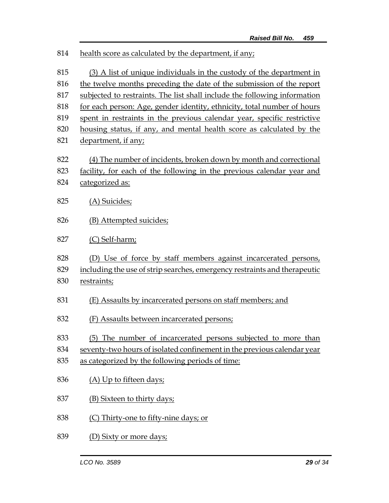| 814 | health score as calculated by the department, if any;                     |  |  |
|-----|---------------------------------------------------------------------------|--|--|
| 815 | (3) A list of unique individuals in the custody of the department in      |  |  |
| 816 | the twelve months preceding the date of the submission of the report      |  |  |
| 817 | subjected to restraints. The list shall include the following information |  |  |
| 818 | for each person: Age, gender identity, ethnicity, total number of hours   |  |  |
| 819 | spent in restraints in the previous calendar year, specific restrictive   |  |  |
| 820 | housing status, if any, and mental health score as calculated by the      |  |  |
| 821 | department, if any;                                                       |  |  |
| 822 | (4) The number of incidents, broken down by month and correctional        |  |  |
| 823 | facility, for each of the following in the previous calendar year and     |  |  |
| 824 | categorized as:                                                           |  |  |
| 825 | (A) Suicides;                                                             |  |  |
| 826 | (B) Attempted suicides;                                                   |  |  |
| 827 | (C) Self-harm;                                                            |  |  |
| 828 | (D) Use of force by staff members against incarcerated persons,           |  |  |
| 829 | including the use of strip searches, emergency restraints and therapeutic |  |  |
| 830 | restraints;                                                               |  |  |
| 831 | (E) Assaults by incarcerated persons on staff members; and                |  |  |
| 832 | (F) Assaults between incarcerated persons;                                |  |  |
| 833 | (5) The number of incarcerated persons subjected to more than             |  |  |
| 834 | seventy-two hours of isolated confinement in the previous calendar year   |  |  |
| 835 | as categorized by the following periods of time:                          |  |  |
| 836 | (A) Up to fifteen days;                                                   |  |  |
| 837 | (B) Sixteen to thirty days;                                               |  |  |
| 838 | (C) Thirty-one to fifty-nine days; or                                     |  |  |
| 839 | <u>(D) Sixty or more days;</u>                                            |  |  |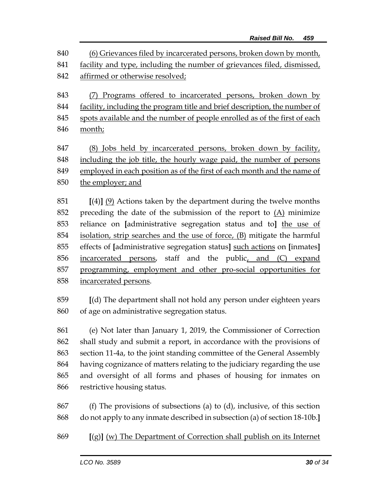(6) Grievances filed by incarcerated persons, broken down by month, facility and type, including the number of grievances filed, dismissed, affirmed or otherwise resolved; (7) Programs offered to incarcerated persons, broken down by

 facility, including the program title and brief description, the number of spots available and the number of people enrolled as of the first of each month;

847 (8) Jobs held by incarcerated persons, broken down by facility, including the job title, the hourly wage paid, the number of persons employed in each position as of the first of each month and the name of the employer; and

 **[**(4)**]** (9) Actions taken by the department during the twelve months preceding the date of the submission of the report to (A) minimize reliance on **[**administrative segregation status and to**]** the use of isolation, strip searches and the use of force, (B) mitigate the harmful effects of **[**administrative segregation status**]** such actions on **[**inmates**]** incarcerated persons, staff and the public, and (C) expand programming, employment and other pro-social opportunities for incarcerated persons.

 **[**(d) The department shall not hold any person under eighteen years of age on administrative segregation status.

 (e) Not later than January 1, 2019, the Commissioner of Correction shall study and submit a report, in accordance with the provisions of section 11-4a, to the joint standing committee of the General Assembly having cognizance of matters relating to the judiciary regarding the use and oversight of all forms and phases of housing for inmates on restrictive housing status.

 (f) The provisions of subsections (a) to (d), inclusive, of this section do not apply to any inmate described in subsection (a) of section 18-10b.**]**

**[**(g)**]** (w) The Department of Correction shall publish on its Internet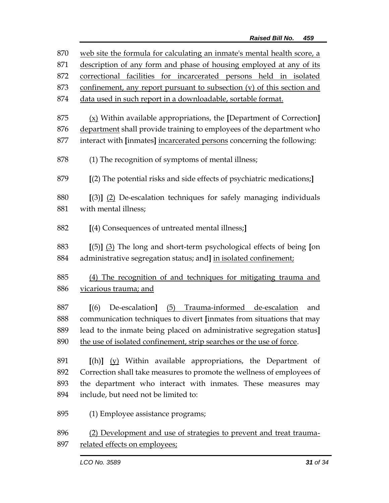| 870 | web site the formula for calculating an inmate's mental health score, a        |  |  |
|-----|--------------------------------------------------------------------------------|--|--|
| 871 | description of any form and phase of housing employed at any of its            |  |  |
| 872 | correctional facilities for incarcerated persons held in isolated              |  |  |
| 873 | confinement, any report pursuant to subsection (v) of this section and         |  |  |
| 874 | data used in such report in a downloadable, sortable format.                   |  |  |
|     |                                                                                |  |  |
| 875 | $(x)$ Within available appropriations, the [Department of Correction]          |  |  |
| 876 | department shall provide training to employees of the department who           |  |  |
| 877 | interact with [inmates] incarcerated persons concerning the following:         |  |  |
| 878 | (1) The recognition of symptoms of mental illness;                             |  |  |
| 879 | [(2) The potential risks and side effects of psychiatric medications;]         |  |  |
| 880 | [(3)] (2) De-escalation techniques for safely managing individuals             |  |  |
| 881 | with mental illness;                                                           |  |  |
| 882 | [(4) Consequences of untreated mental illness;]                                |  |  |
|     |                                                                                |  |  |
| 883 | [(5)] (3) The long and short-term psychological effects of being [on           |  |  |
| 884 | administrative segregation status; and] in isolated confinement;               |  |  |
| 885 | (4) The recognition of and techniques for mitigating trauma and                |  |  |
| 886 | vicarious trauma; and                                                          |  |  |
|     |                                                                                |  |  |
| 887 | (5) Trauma-informed de-escalation<br>$\mathcal{L}(6)$<br>De-escalation]<br>and |  |  |
| 888 | communication techniques to divert [inmates from situations that may           |  |  |
| 889 | lead to the inmate being placed on administrative segregation status]          |  |  |
| 890 | the use of isolated confinement, strip searches or the use of force.           |  |  |
| 891 | $[(h)]$ $(y)$ Within available appropriations, the Department of               |  |  |
| 892 | Correction shall take measures to promote the wellness of employees of         |  |  |
| 893 | the department who interact with inmates. These measures may                   |  |  |
| 894 | include, but need not be limited to:                                           |  |  |
| 895 | (1) Employee assistance programs;                                              |  |  |
| 896 | (2) Development and use of strategies to prevent and treat trauma-             |  |  |
| 897 | related effects on employees;                                                  |  |  |
|     |                                                                                |  |  |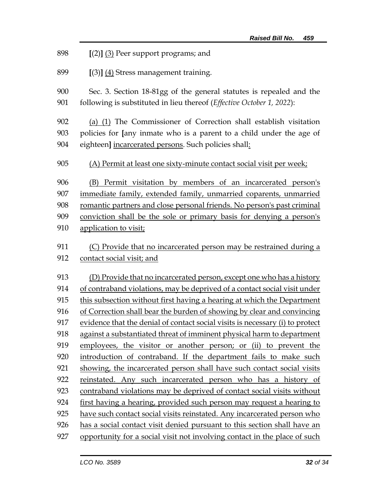**[**(2)**]** (3) Peer support programs; and

**[**(3)**]** (4) Stress management training.

 Sec. 3. Section 18-81gg of the general statutes is repealed and the following is substituted in lieu thereof (*Effective October 1, 2022*):

 (a) (1) The Commissioner of Correction shall establish visitation policies for **[**any inmate who is a parent to a child under the age of eighteen**]** incarcerated persons. Such policies shall:

(A) Permit at least one sixty-minute contact social visit per week;

 (B) Permit visitation by members of an incarcerated person's immediate family, extended family, unmarried coparents, unmarried romantic partners and close personal friends. No person's past criminal conviction shall be the sole or primary basis for denying a person's application to visit;

 (C) Provide that no incarcerated person may be restrained during a contact social visit; and

 (D) Provide that no incarcerated person, except one who has a history of contraband violations, may be deprived of a contact social visit under this subsection without first having a hearing at which the Department of Correction shall bear the burden of showing by clear and convincing evidence that the denial of contact social visits is necessary (i) to protect against a substantiated threat of imminent physical harm to department employees, the visitor or another person; or (ii) to prevent the introduction of contraband. If the department fails to make such 921 showing, the incarcerated person shall have such contact social visits reinstated. Any such incarcerated person who has a history of contraband violations may be deprived of contact social visits without first having a hearing, provided such person may request a hearing to have such contact social visits reinstated. Any incarcerated person who has a social contact visit denied pursuant to this section shall have an opportunity for a social visit not involving contact in the place of such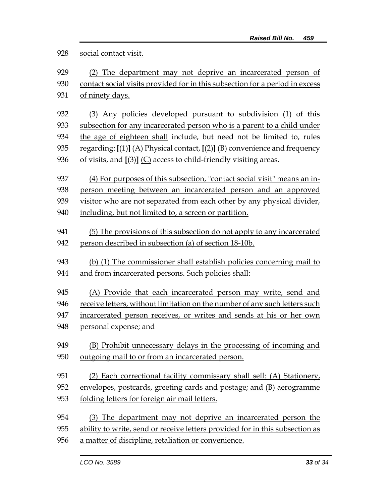## social contact visit.

| 929 | (2) The department may not deprive an incarcerated person of                   |
|-----|--------------------------------------------------------------------------------|
| 930 | contact social visits provided for in this subsection for a period in excess   |
| 931 | of ninety days.                                                                |
|     |                                                                                |
| 932 | (3) Any policies developed pursuant to subdivision (1) of this                 |
| 933 | subsection for any incarcerated person who is a parent to a child under        |
| 934 | the age of eighteen shall include, but need not be limited to, rules           |
| 935 | regarding: $[(1)]$ (A) Physical contact, $[(2)]$ (B) convenience and frequency |
| 936 | of visits, and $[(3)]$ (C) access to child-friendly visiting areas.            |
|     |                                                                                |
| 937 | (4) For purposes of this subsection, "contact social visit" means an in-       |
| 938 | person meeting between an incarcerated person and an approved                  |

visitor who are not separated from each other by any physical divider,

- including, but not limited to, a screen or partition.
- (5) The provisions of this subsection do not apply to any incarcerated person described in subsection (a) of section 18-10b.
- (b) (1) The commissioner shall establish policies concerning mail to and from incarcerated persons. Such policies shall:
- (A) Provide that each incarcerated person may write, send and
- receive letters, without limitation on the number of any such letters such
- incarcerated person receives, or writes and sends at his or her own
- personal expense; and
- (B) Prohibit unnecessary delays in the processing of incoming and outgoing mail to or from an incarcerated person.
- (2) Each correctional facility commissary shall sell: (A) Stationery, envelopes, postcards, greeting cards and postage; and (B) aerogramme
- folding letters for foreign air mail letters.
- (3) The department may not deprive an incarcerated person the
- ability to write, send or receive letters provided for in this subsection as
- a matter of discipline, retaliation or convenience.